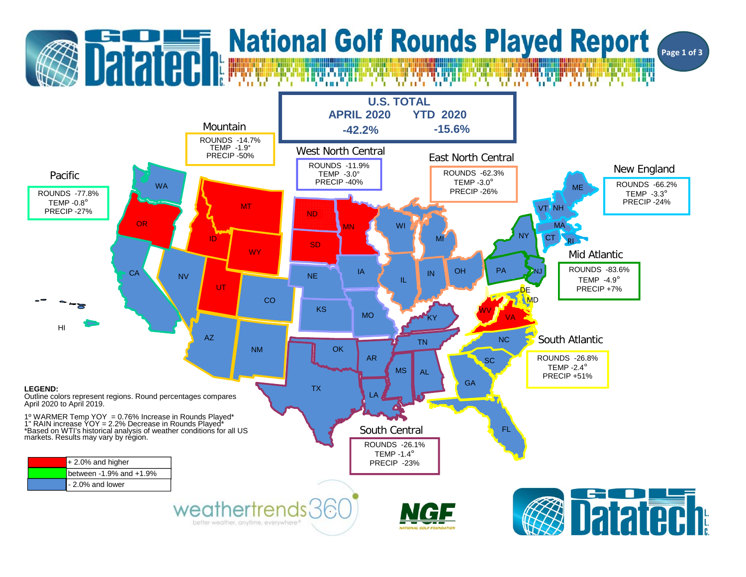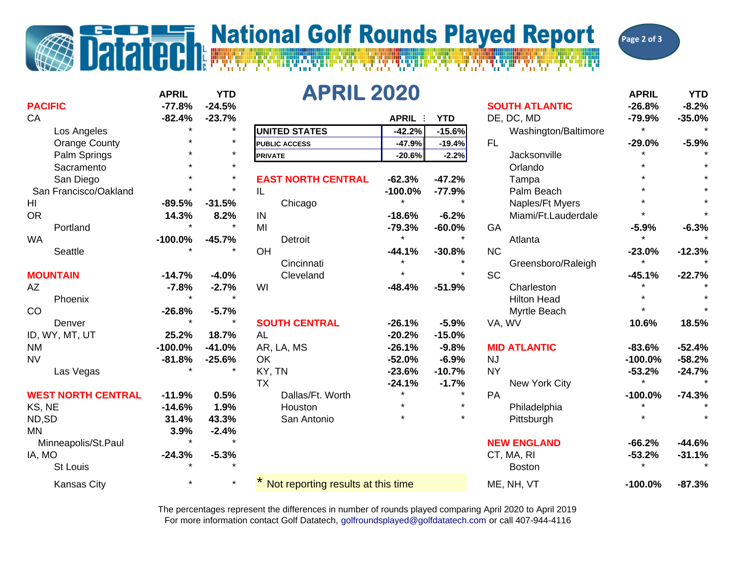## **Datated Report**<br>Datated Report

**Page 2 of 3**

|                           | <b>APRIL</b> | <b>YTD</b> | <b>APRIL 2020</b>                  |           |            |                       | <b>APRIL</b> | <b>YTD</b> |
|---------------------------|--------------|------------|------------------------------------|-----------|------------|-----------------------|--------------|------------|
| <b>PACIFIC</b>            | $-77.8%$     | $-24.5%$   |                                    |           |            | <b>SOUTH ATLANTIC</b> | $-26.8%$     | $-8.2%$    |
| CA                        | $-82.4%$     | $-23.7%$   |                                    | APRIL :   | <b>YTD</b> | DE, DC, MD            | $-79.9%$     | $-35.0%$   |
| Los Angeles               | $\star$      | $\star$    | <b>UNITED STATES</b>               | $-42.2%$  | $-15.6%$   | Washington/Baltimore  | $\star$      |            |
| <b>Orange County</b>      |              | $\star$    | <b>PUBLIC ACCESS</b>               | $-47.9%$  | $-19.4%$   | FL.                   | $-29.0%$     | $-5.9%$    |
| Palm Springs              |              | $\star$    | <b>PRIVATE</b>                     | $-20.6%$  | $-2.2%$    | Jacksonville          |              |            |
| Sacramento                |              | $\star$    |                                    |           |            | Orlando               |              |            |
| San Diego                 |              | $\star$    | <b>EAST NORTH CENTRAL</b>          | $-62.3%$  | $-47.2%$   | Tampa                 |              |            |
| San Francisco/Oakland     |              | $\star$    | IL.                                | $-100.0%$ | $-77.9%$   | Palm Beach            |              |            |
| HI                        | $-89.5%$     | $-31.5%$   | Chicago                            | $\star$   |            | Naples/Ft Myers       |              |            |
| <b>OR</b>                 | 14.3%        | 8.2%       | IN                                 | $-18.6%$  | $-6.2%$    | Miami/Ft.Lauderdale   |              |            |
| Portland                  |              | $\star$    | MI                                 | $-79.3%$  | $-60.0%$   | GA                    | $-5.9%$      | $-6.3%$    |
| <b>WA</b>                 | $-100.0%$    | $-45.7%$   | Detroit                            | $\star$   | $\star$    | Atlanta               | $\star$      |            |
| Seattle                   |              |            | OH                                 | $-44.1%$  | $-30.8%$   | <b>NC</b>             | $-23.0%$     | $-12.3%$   |
|                           |              |            | Cincinnati                         |           |            | Greensboro/Raleigh    |              |            |
| <b>MOUNTAIN</b>           | $-14.7%$     | $-4.0%$    | Cleveland                          |           | $\star$    | <b>SC</b>             | $-45.1%$     | $-22.7%$   |
| AΖ                        | $-7.8%$      | $-2.7%$    | WI                                 | $-48.4%$  | $-51.9%$   | Charleston            |              |            |
| Phoenix                   |              |            |                                    |           |            | <b>Hilton Head</b>    |              |            |
| CO                        | $-26.8%$     | $-5.7%$    |                                    |           |            | <b>Myrtle Beach</b>   |              |            |
| Denver                    | $\star$      |            | <b>SOUTH CENTRAL</b>               | $-26.1%$  | $-5.9%$    | VA, WV                | 10.6%        | 18.5%      |
| ID, WY, MT, UT            | 25.2%        | 18.7%      | AL                                 | $-20.2%$  | $-15.0%$   |                       |              |            |
| <b>NM</b>                 | $-100.0%$    | $-41.0%$   | AR, LA, MS                         | $-26.1%$  | $-9.8%$    | <b>MID ATLANTIC</b>   | $-83.6%$     | $-52.4%$   |
| <b>NV</b>                 | $-81.8%$     | $-25.6%$   | OK                                 | $-52.0%$  | $-6.9%$    | <b>NJ</b>             | $-100.0%$    | $-58.2%$   |
| Las Vegas                 |              |            | KY, TN                             | $-23.6%$  | $-10.7%$   | <b>NY</b>             | $-53.2%$     | $-24.7%$   |
|                           |              |            | <b>TX</b>                          | $-24.1%$  | $-1.7%$    | New York City         | $\star$      |            |
| <b>WEST NORTH CENTRAL</b> | $-11.9%$     | 0.5%       | Dallas/Ft. Worth                   | $\star$   | $\star$    | PA                    | $-100.0%$    | $-74.3%$   |
| KS, NE                    | $-14.6%$     | 1.9%       | Houston                            | $\star$   | $\star$    | Philadelphia          |              |            |
| ND,SD                     | 31.4%        | 43.3%      | San Antonio                        |           |            | Pittsburgh            |              |            |
| <b>MN</b>                 | 3.9%         | $-2.4%$    |                                    |           |            |                       |              |            |
| Minneapolis/St.Paul       | $\star$      | $\star$    |                                    |           |            | <b>NEW ENGLAND</b>    | $-66.2%$     | $-44.6%$   |
| IA, MO                    | $-24.3%$     | $-5.3%$    |                                    |           |            | CT, MA, RI            | $-53.2%$     | $-31.1%$   |
| St Louis                  |              |            |                                    |           |            | <b>Boston</b>         |              |            |
| <b>Kansas City</b>        |              | $\star$    | Not reporting results at this time |           |            | ME, NH, VT            | $-100.0%$    | $-87.3%$   |

For more information contact Golf Datatech, golfroundsplayed@golfdatatech.com or call 407-944-4116 The percentages represent the differences in number of rounds played comparing April 2020 to April 2019